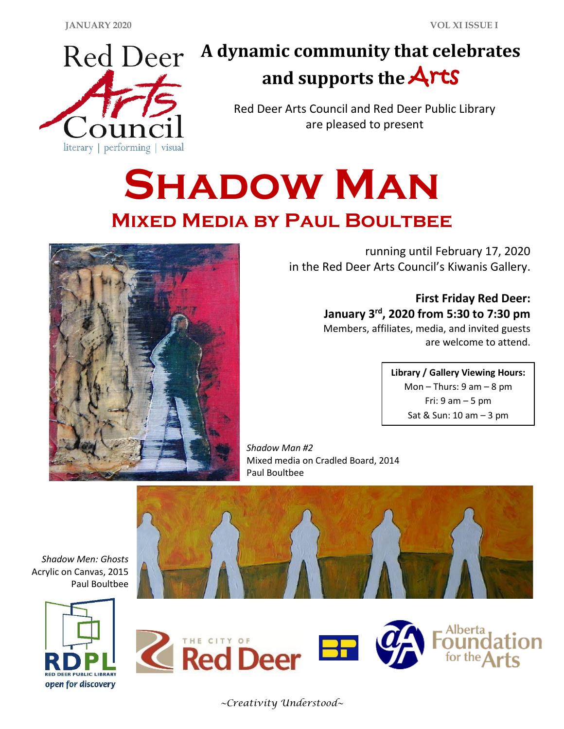

## **A dynamic community that celebrates and supports the** Arts

Red Deer Arts Council and Red Deer Public Library are pleased to present

# **SHADOW MAN Mixed Media by Paul Boultbee**



running until February 17, 2020 in the Red Deer Arts Council's Kiwanis Gallery.

> **First Friday Red Deer: January 3rd, 2020 from 5:30 to 7:30 pm** Members, affiliates, media, and invited guests

are welcome to attend.

**Library / Gallery Viewing Hours:** Mon – Thurs:  $9 \text{ am} - 8 \text{ pm}$ Fri:  $9$  am  $-5$  pm Sat & Sun: 10 am – 3 pm

*Shadow Man #2* Mixed media on Cradled Board, 2014 Paul Boultbee



*Shadow Men: Ghosts* Acrylic on Canvas, 2015 Paul Boultbee





*~Creativity Understood~*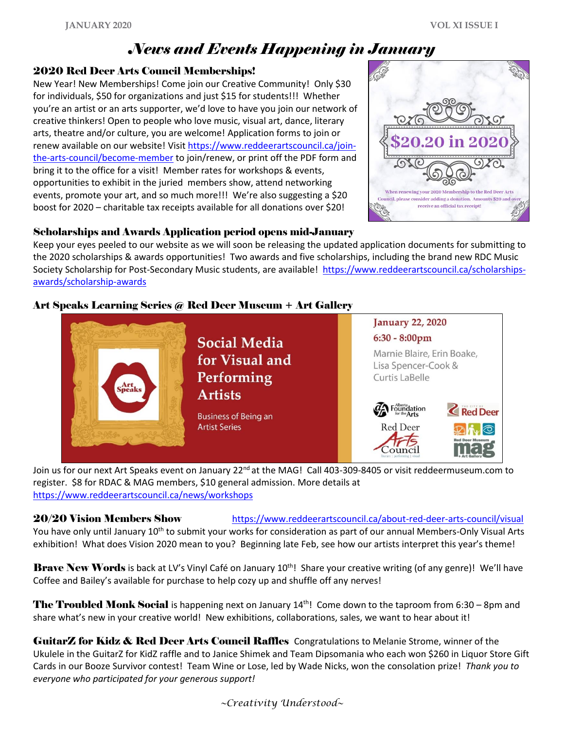### *News and Events Happening in January*

#### 2020 Red Deer Arts Council Memberships!

New Year! New Memberships! Come join our Creative Community! Only \$30 for individuals, \$50 for organizations and just \$15 for students!!! Whether you're an artist or an arts supporter, we'd love to have you join our network of creative thinkers! Open to people who love music, visual art, dance, literary arts, theatre and/or culture, you are welcome! Application forms to join or renew available on our website! Visit [https://www.reddeerartscouncil.ca/join](https://www.reddeerartscouncil.ca/join-the-arts-council/become-member)[the-arts-council/become-member](https://www.reddeerartscouncil.ca/join-the-arts-council/become-member) to join/renew, or print off the PDF form and bring it to the office for a visit! Member rates for workshops & events, opportunities to exhibit in the juried members show, attend networking events, promote your art, and so much more!!! We're also suggesting a \$20 boost for 2020 – charitable tax receipts available for all donations over \$20!



#### Scholarships and Awards Application period opens mid-January

Keep your eyes peeled to our website as we will soon be releasing the updated application documents for submitting to the 2020 scholarships & awards opportunities! Two awards and five scholarships, including the brand new RDC Music Society Scholarship for Post-Secondary Music students, are available! [https://www.reddeerartscouncil.ca/scholarships](https://www.reddeerartscouncil.ca/scholarships-awards/scholarship-awards)[awards/scholarship-awards](https://www.reddeerartscouncil.ca/scholarships-awards/scholarship-awards)

#### Art Speaks Learning Series @ Red Deer Museum + Art Gallery



Join us for our next Art Speaks event on January 22<sup>nd</sup> at the MAG! Call 403-309-8405 or visit reddeermuseum.com to register. \$8 for RDAC & MAG members, \$10 general admission. More details at <https://www.reddeerartscouncil.ca/news/workshops>

20/20 Vision Members Show <https://www.reddeerartscouncil.ca/about-red-deer-arts-council/visual> You have only until January 10<sup>th</sup> to submit your works for consideration as part of our annual Members-Only Visual Arts exhibition! What does Vision 2020 mean to you? Beginning late Feb, see how our artists interpret this year's theme!

Brave New Words is back at LV's Vinyl Café on January 10<sup>th</sup>! Share your creative writing (of any genre)! We'll have Coffee and Bailey's available for purchase to help cozy up and shuffle off any nerves!

**The Troubled Monk Social** is happening next on January  $14<sup>th</sup>$ ! Come down to the taproom from 6:30 – 8pm and share what's new in your creative world! New exhibitions, collaborations, sales, we want to hear about it!

GuitarZ for Kidz & Red Deer Arts Council Raffles Congratulations to Melanie Strome, winner of the Ukulele in the GuitarZ for KidZ raffle and to Janice Shimek and Team Dipsomania who each won \$260 in Liquor Store Gift Cards in our Booze Survivor contest! Team Wine or Lose, led by Wade Nicks, won the consolation prize! *Thank you to everyone who participated for your generous support!*